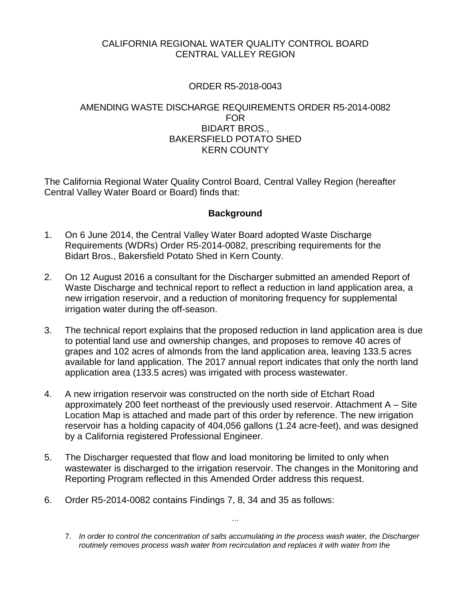# CALIFORNIA REGIONAL WATER QUALITY CONTROL BOARD CENTRAL VALLEY REGION

# ORDER R5-2018-0043

## AMENDING WASTE DISCHARGE REQUIREMENTS ORDER R5-2014-0082 FOR BIDART BROS., BAKERSFIELD POTATO SHED KERN COUNTY

The California Regional Water Quality Control Board, Central Valley Region (hereafter Central Valley Water Board or Board) finds that:

## **Background**

- 1. On 6 June 2014, the Central Valley Water Board adopted Waste Discharge Requirements (WDRs) Order R5-2014-0082, prescribing requirements for the Bidart Bros., Bakersfield Potato Shed in Kern County.
- 2. On 12 August 2016 a consultant for the Discharger submitted an amended Report of Waste Discharge and technical report to reflect a reduction in land application area, a new irrigation reservoir, and a reduction of monitoring frequency for supplemental irrigation water during the off-season.
- 3. The technical report explains that the proposed reduction in land application area is due to potential land use and ownership changes, and proposes to remove 40 acres of grapes and 102 acres of almonds from the land application area, leaving 133.5 acres available for land application. The 2017 annual report indicates that only the north land application area (133.5 acres) was irrigated with process wastewater.
- 4. A new irrigation reservoir was constructed on the north side of Etchart Road approximately 200 feet northeast of the previously used reservoir. Attachment A – Site Location Map is attached and made part of this order by reference. The new irrigation reservoir has a holding capacity of 404,056 gallons (1.24 acre-feet), and was designed by a California registered Professional Engineer.
- 5. The Discharger requested that flow and load monitoring be limited to only when wastewater is discharged to the irrigation reservoir. The changes in the Monitoring and Reporting Program reflected in this Amended Order address this request.
- 6. Order R5-2014-0082 contains Findings 7, 8, 34 and 35 as follows:

…

<sup>7.</sup> *In order to control the concentration of salts accumulating in the process wash water, the Discharger routinely removes process wash water from recirculation and replaces it with water from the*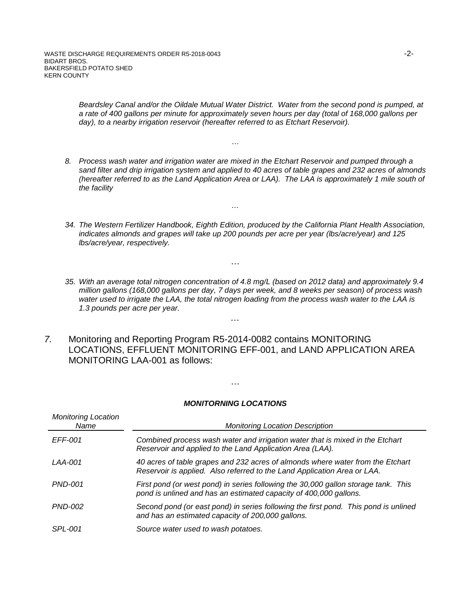*Beardsley Canal and/or the Oildale Mutual Water District. Water from the second pond is pumped, at a rate of 400 gallons per minute for approximately seven hours per day (total of 168,000 gallons per day), to a nearby irrigation reservoir (hereafter referred to as Etchart Reservoir).*

*8. Process wash water and irrigation water are mixed in the Etchart Reservoir and pumped through a sand filter and drip irrigation system and applied to 40 acres of table grapes and 232 acres of almonds (hereafter referred to as the Land Application Area or LAA). The LAA is approximately 1 mile south of the facility*

…

*…*

…

- *34. The Western Fertilizer Handbook, Eighth Edition, produced by the California Plant Health Association, indicates almonds and grapes will take up 200 pounds per acre per year (lbs/acre/year) and 125 lbs/acre/year, respectively.*
- *35. With an average total nitrogen concentration of 4.8 mg/L (based on 2012 data) and approximately 9.4 million gallons (168,000 gallons per day, 7 days per week, and 8 weeks per season) of process wash water used to irrigate the LAA, the total nitrogen loading from the process wash water to the LAA is 1.3 pounds per acre per year.*
- *7.* Monitoring and Reporting Program R5-2014-0082 contains MONITORING LOCATIONS, EFFLUENT MONITORING EFF-001, and LAND APPLICATION AREA MONITORING LAA-001 as follows:

*…*

#### *MONITORNING LOCATIONS*

…

| <b>Monitoring Location</b><br>Name | <b>Monitoring Location Description</b>                                                                                                                     |  |
|------------------------------------|------------------------------------------------------------------------------------------------------------------------------------------------------------|--|
| EFF-001                            | Combined process wash water and irrigation water that is mixed in the Etchart<br>Reservoir and applied to the Land Application Area (LAA).                 |  |
| LAA-001                            | 40 acres of table grapes and 232 acres of almonds where water from the Etchart<br>Reservoir is applied. Also referred to the Land Application Area or LAA. |  |
| $PND-001$                          | First pond (or west pond) in series following the 30,000 gallon storage tank. This<br>pond is unlined and has an estimated capacity of 400,000 gallons.    |  |
| <i>PND-002</i>                     | Second pond (or east pond) in series following the first pond. This pond is unlined<br>and has an estimated capacity of 200,000 gallons.                   |  |
| <i>SPL-001</i>                     | Source water used to wash potatoes.                                                                                                                        |  |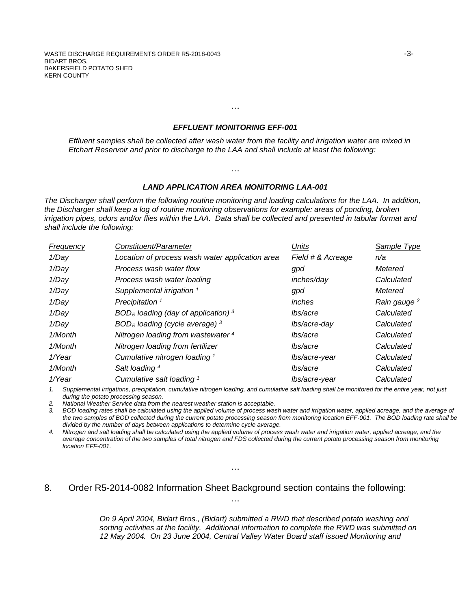#### *EFFLUENT MONITORING EFF-001*

…

*Effluent samples shall be collected after wash water from the facility and irrigation water are mixed in Etchart Reservoir and prior to discharge to the LAA and shall include at least the following:*

### *LAND APPLICATION AREA MONITORING LAA-001*

…

*The Discharger shall perform the following routine monitoring and loading calculations for the LAA. In addition, the Discharger shall keep a log of routine monitoring observations for example: areas of ponding, broken irrigation pipes, odors and/or flies within the LAA. Data shall be collected and presented in tabular format and shall include the following:*

| Frequency | Constituent/Parameter                           | Units             | Sample Type             |
|-----------|-------------------------------------------------|-------------------|-------------------------|
| 1/Day     | Location of process wash water application area | Field # & Acreage | n/a                     |
| 1/Day     | Process wash water flow                         | gpd               | Metered                 |
| 1/Day     | Process wash water loading                      | inches/day        | Calculated              |
| 1/Day     | Supplemental irrigation <sup>1</sup>            | gpd               | Metered                 |
| 1/Day     | Precipitation <sup>1</sup>                      | inches            | Rain gauge <sup>2</sup> |
| 1/Day     | $BOD5$ loading (day of application) $3$         | lbs/acre          | Calculated              |
| 1/Day     | $BOD5$ loading (cycle average) $3$              | lbs/acre-day      | Calculated              |
| 1/Month   | Nitrogen loading from wastewater 4              | lbs/acre          | Calculated              |
| 1/Month   | Nitrogen loading from fertilizer                | lbs/acre          | Calculated              |
| 1/Year    | Cumulative nitrogen loading 1                   | lbs/acre-year     | Calculated              |
| 1/Month   | Salt loading 4                                  | lbs/acre          | Calculated              |
| 1/Year    | Cumulative salt loading 1                       | lbs/acre-year     | Calculated              |

*1. Supplemental irrigations, precipitation, cumulative nitrogen loading, and cumulative salt loading shall be monitored for the entire year, not just during the potato processing season.*

*2. National Weather Service data from the nearest weather station is acceptable.* 

*3. BOD loading rates shall be calculated using the applied volume of process wash water and irrigation water, applied acreage, and the average of the two samples of BOD collected during the current potato processing season from monitoring location EFF-001. The BOD loading rate shall be divided by the number of days between applications to determine cycle average.* 

*4. Nitrogen and salt loading shall be calculated using the applied volume of process wash water and irrigation water, applied acreage, and the average concentration of the two samples of total nitrogen and FDS collected during the current potato processing season from monitoring location EFF-001.*

### 8. Order R5-2014-0082 Information Sheet Background section contains the following:

…

…

*On 9 April 2004, Bidart Bros., (Bidart) submitted a RWD that described potato washing and sorting activities at the facility. Additional information to complete the RWD was submitted on 12 May 2004. On 23 June 2004, Central Valley Water Board staff issued Monitoring and*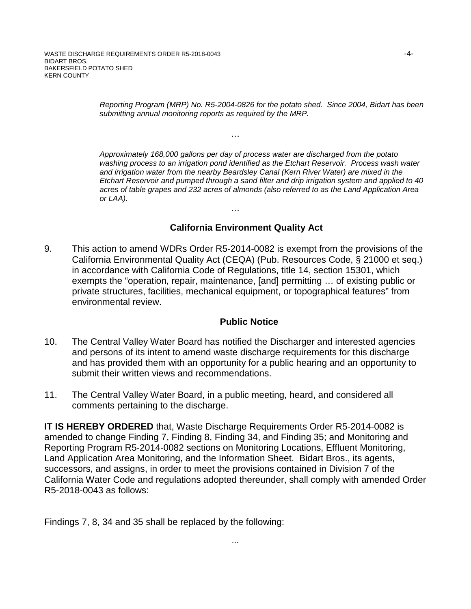*Reporting Program (MRP) No. R5-2004-0826 for the potato shed. Since 2004, Bidart has been submitting annual monitoring reports as required by the MRP.* 

…

*Approximately 168,000 gallons per day of process water are discharged from the potato washing process to an irrigation pond identified as the Etchart Reservoir. Process wash water and irrigation water from the nearby Beardsley Canal (Kern River Water) are mixed in the Etchart Reservoir and pumped through a sand filter and drip irrigation system and applied to 40 acres of table grapes and 232 acres of almonds (also referred to as the Land Application Area or LAA).*

# **California Environment Quality Act**

9. This action to amend WDRs Order R5-2014-0082 is exempt from the provisions of the California Environmental Quality Act (CEQA) (Pub. Resources Code, § 21000 et seq.) in accordance with California Code of Regulations, title 14, section 15301, which exempts the "operation, repair, maintenance, [and] permitting … of existing public or private structures, facilities, mechanical equipment, or topographical features" from environmental review.

…

### **Public Notice**

- 10. The Central Valley Water Board has notified the Discharger and interested agencies and persons of its intent to amend waste discharge requirements for this discharge and has provided them with an opportunity for a public hearing and an opportunity to submit their written views and recommendations.
- 11. The Central Valley Water Board, in a public meeting, heard, and considered all comments pertaining to the discharge.

**IT IS HEREBY ORDERED** that, Waste Discharge Requirements Order R5-2014-0082 is amended to change Finding 7, Finding 8, Finding 34, and Finding 35; and Monitoring and Reporting Program R5-2014-0082 sections on Monitoring Locations, Effluent Monitoring, Land Application Area Monitoring, and the Information Sheet. Bidart Bros., its agents, successors, and assigns, in order to meet the provisions contained in Division 7 of the California Water Code and regulations adopted thereunder, shall comply with amended Order R5-2018-0043 as follows:

Findings 7, 8, 34 and 35 shall be replaced by the following: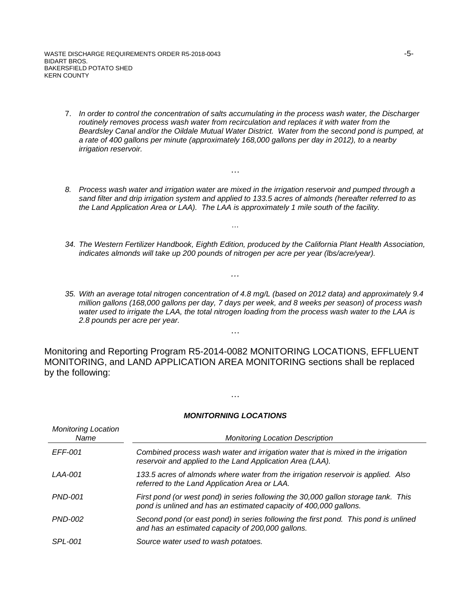WASTE DISCHARGE REQUIREMENTS ORDER R5-2018-0043 -5-BIDART BROS. BAKERSFIELD POTATO SHED KERN COUNTY

- 7. *In order to control the concentration of salts accumulating in the process wash water, the Discharger routinely removes process wash water from recirculation and replaces it with water from the Beardsley Canal and/or the Oildale Mutual Water District. Water from the second pond is pumped, at a rate of 400 gallons per minute (approximately 168,000 gallons per day in 2012), to a nearby irrigation reservoir.*
- *8. Process wash water and irrigation water are mixed in the irrigation reservoir and pumped through a sand filter and drip irrigation system and applied to 133.5 acres of almonds (hereafter referred to as the Land Application Area or LAA). The LAA is approximately 1 mile south of the facility.*

…

…

*…*

- *34. The Western Fertilizer Handbook, Eighth Edition, produced by the California Plant Health Association, indicates almonds will take up 200 pounds of nitrogen per acre per year (lbs/acre/year).*
- *35. With an average total nitrogen concentration of 4.8 mg/L (based on 2012 data) and approximately 9.4 million gallons (168,000 gallons per day, 7 days per week, and 8 weeks per season) of process wash water used to irrigate the LAA, the total nitrogen loading from the process wash water to the LAA is 2.8 pounds per acre per year.*

Monitoring and Reporting Program R5-2014-0082 MONITORING LOCATIONS, EFFLUENT MONITORING, and LAND APPLICATION AREA MONITORING sections shall be replaced by the following:

…

### *MONITORNING LOCATIONS*

…

| <b>Monitoring Location</b><br>Name | <b>Monitoring Location Description</b>                                                                                                                  |  |
|------------------------------------|---------------------------------------------------------------------------------------------------------------------------------------------------------|--|
| <i>EFF-001</i>                     | Combined process wash water and irrigation water that is mixed in the irrigation<br>reservoir and applied to the Land Application Area (LAA).           |  |
| LAA-001                            | 133.5 acres of almonds where water from the irrigation reservoir is applied. Also<br>referred to the Land Application Area or LAA.                      |  |
| <b>PND-001</b>                     | First pond (or west pond) in series following the 30,000 gallon storage tank. This<br>pond is unlined and has an estimated capacity of 400,000 gallons. |  |
| <i>PND-002</i>                     | Second pond (or east pond) in series following the first pond. This pond is unlined<br>and has an estimated capacity of 200,000 gallons.                |  |
| <b>SPL-001</b>                     | Source water used to wash potatoes.                                                                                                                     |  |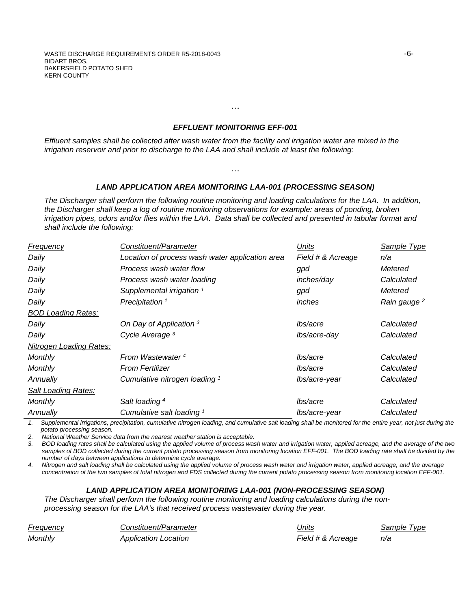WASTE DISCHARGE REQUIREMENTS ORDER R5-2018-0043 **-6-** - And the state of the state of the state of the state of the state of the state of the state of the state of the state of the state of the state of the state of the st BIDART BROS. BAKERSFIELD POTATO SHED KERN COUNTY

#### *EFFLUENT MONITORING EFF-001*

…

*Effluent samples shall be collected after wash water from the facility and irrigation water are mixed in the irrigation reservoir and prior to discharge to the LAA and shall include at least the following:*

#### *LAND APPLICATION AREA MONITORING LAA-001 (PROCESSING SEASON)*

…

*The Discharger shall perform the following routine monitoring and loading calculations for the LAA. In addition, the Discharger shall keep a log of routine monitoring observations for example: areas of ponding, broken irrigation pipes, odors and/or flies within the LAA. Data shall be collected and presented in tabular format and shall include the following:*

| <b>Frequency</b>               | Constituent/Parameter                           | Units             | Sample Type             |
|--------------------------------|-------------------------------------------------|-------------------|-------------------------|
| Daily                          | Location of process wash water application area | Field # & Acreage | n/a                     |
| Daily                          | Process wash water flow                         | gpd               | Metered                 |
| Daily                          | Process wash water loading                      | inches/day        | Calculated              |
| Daily                          | Supplemental irrigation <sup>1</sup>            | gpd               | Metered                 |
| Daily                          | Precipitation <sup>1</sup>                      | inches            | Rain gauge <sup>2</sup> |
| <b>BOD Loading Rates:</b>      |                                                 |                   |                         |
| Daily                          | On Day of Application 3                         | lbs/acre          | Calculated              |
| Daily                          | Cycle Average <sup>3</sup>                      | lbs/acre-day      | Calculated              |
| <b>Nitrogen Loading Rates:</b> |                                                 |                   |                         |
| <b>Monthly</b>                 | From Wastewater <sup>4</sup>                    | lbs/acre          | Calculated              |
| <b>Monthly</b>                 | <b>From Fertilizer</b>                          | lbs/acre          | Calculated              |
| Annually                       | Cumulative nitrogen loading 1                   | lbs/acre-year     | Calculated              |
| Salt Loading Rates:            |                                                 |                   |                         |
| <b>Monthly</b>                 | Salt loading <sup>4</sup>                       | lbs/acre          | Calculated              |
| Annually                       | Cumulative salt loading 1                       | lbs/acre-year     | Calculated              |

*1. Supplemental irrigations, precipitation, cumulative nitrogen loading, and cumulative salt loading shall be monitored for the entire year, not just during the potato processing season.*

*2. National Weather Service data from the nearest weather station is acceptable.* 

*3. BOD loading rates shall be calculated using the applied volume of process wash water and irrigation water, applied acreage, and the average of the two*  samples of BOD collected during the current potato processing season from monitoring location EFF-001. The BOD loading rate shall be divided by the *number of days between applications to determine cycle average.* 

*4. Nitrogen and salt loading shall be calculated using the applied volume of process wash water and irrigation water, applied acreage, and the average concentration of the two samples of total nitrogen and FDS collected during the current potato processing season from monitoring location EFF-001.*

### *LAND APPLICATION AREA MONITORING LAA-001 (NON-PROCESSING SEASON)*

*The Discharger shall perform the following routine monitoring and loading calculations during the nonprocessing season for the LAA's that received process wastewater during the year.*

| Frequency | Constituent/Parameter | Units             | Sample Type |
|-----------|-----------------------|-------------------|-------------|
| Monthly   | Application Location  | Field # & Acreage | n/a         |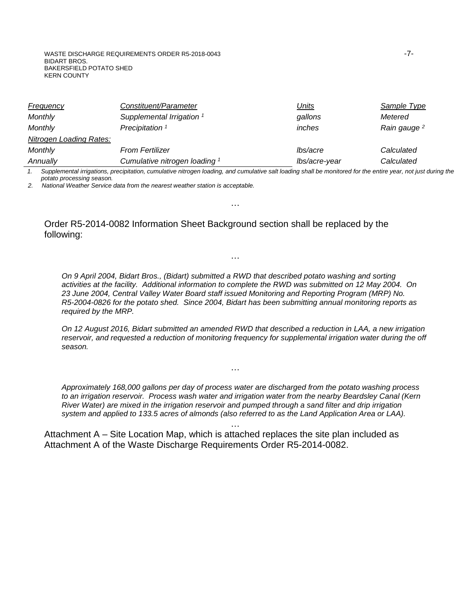WASTE DISCHARGE REQUIREMENTS ORDER R5-2018-0043 -7-BIDART BROS. BAKERSFIELD POTATO SHED KERN COUNTY

| Frequency                      | Constituent/Parameter                | <u>Units</u>  | <b>Sample Type</b>      |
|--------------------------------|--------------------------------------|---------------|-------------------------|
| Monthly                        | Supplemental Irrigation <sup>1</sup> | gallons       | Metered                 |
| Monthly                        | Precipitation <sup>1</sup>           | inches        | Rain gauge <sup>2</sup> |
| <b>Nitrogen Loading Rates:</b> |                                      |               |                         |
| <b>Monthly</b>                 | <b>From Fertilizer</b>               | lbs/acre      | Calculated              |
| Annually                       | Cumulative nitrogen loading 1        | lbs/acre-year | Calculated              |

*1. Supplemental irrigations, precipitation, cumulative nitrogen loading, and cumulative salt loading shall be monitored for the entire year, not just during the potato processing season.*

…

…

*2. National Weather Service data from the nearest weather station is acceptable.* 

Order R5-2014-0082 Information Sheet Background section shall be replaced by the following:

*On 9 April 2004, Bidart Bros., (Bidart) submitted a RWD that described potato washing and sorting activities at the facility. Additional information to complete the RWD was submitted on 12 May 2004. On 23 June 2004, Central Valley Water Board staff issued Monitoring and Reporting Program (MRP) No. R5-2004-0826 for the potato shed. Since 2004, Bidart has been submitting annual monitoring reports as required by the MRP.*

*On 12 August 2016, Bidart submitted an amended RWD that described a reduction in LAA, a new irrigation*  reservoir, and requested a reduction of monitoring frequency for supplemental irrigation water during the off *season.*

*Approximately 168,000 gallons per day of process water are discharged from the potato washing process to an irrigation reservoir. Process wash water and irrigation water from the nearby Beardsley Canal (Kern River Water) are mixed in the irrigation reservoir and pumped through a sand filter and drip irrigation system and applied to 133.5 acres of almonds (also referred to as the Land Application Area or LAA).*

…

…

Attachment A – Site Location Map, which is attached replaces the site plan included as Attachment A of the Waste Discharge Requirements Order R5-2014-0082.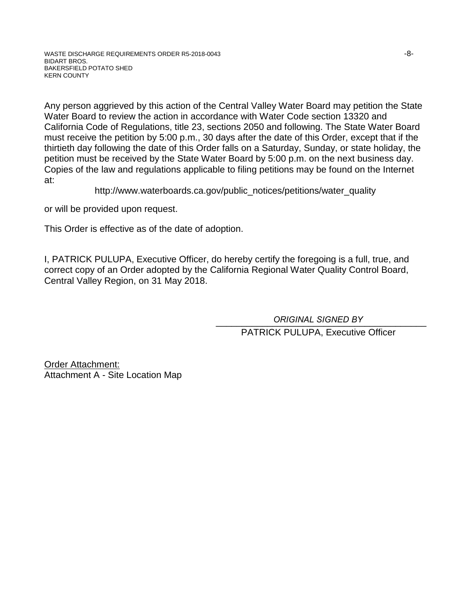Any person aggrieved by this action of the Central Valley Water Board may petition the State Water Board to review the action in accordance with Water Code section 13320 and California Code of Regulations, title 23, sections 2050 and following. The State Water Board must receive the petition by 5:00 p.m., 30 days after the date of this Order, except that if the thirtieth day following the date of this Order falls on a Saturday, Sunday, or state holiday, the petition must be received by the State Water Board by 5:00 p.m. on the next business day. Copies of the law and regulations applicable to filing petitions may be found on the Internet at:

http://www.waterboards.ca.gov/public\_notices/petitions/water\_quality

or will be provided upon request.

This Order is effective as of the date of adoption.

I, PATRICK PULUPA, Executive Officer, do hereby certify the foregoing is a full, true, and correct copy of an Order adopted by the California Regional Water Quality Control Board, Central Valley Region, on 31 May 2018.

> \_\_\_\_\_\_\_\_\_\_\_\_\_\_\_\_\_\_\_\_\_\_\_\_\_\_\_\_\_\_\_\_\_\_\_\_\_\_\_\_\_ *ORIGINAL SIGNED BY*PATRICK PULUPA, Executive Officer

Order Attachment: Attachment A - Site Location Map